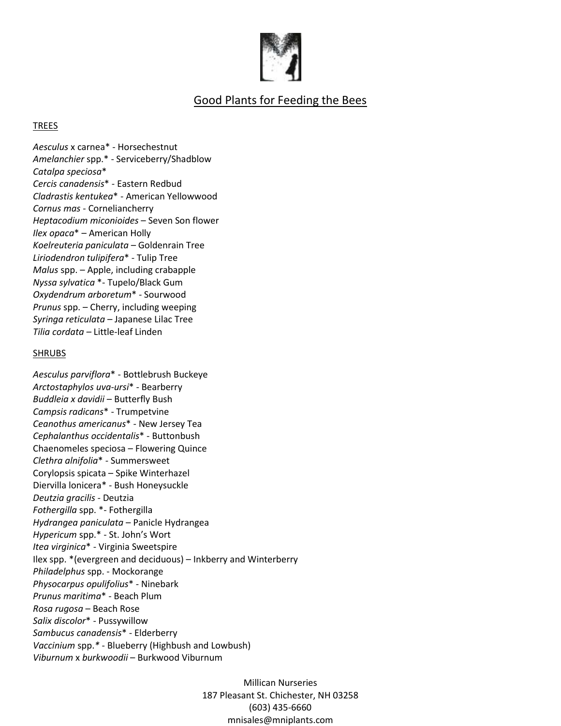

## Good Plants for Feeding the Bees

## TREES

*Aesculus* x carnea\* - Horsechestnut *Amelanchier* spp.\* - Serviceberry/Shadblow *Catalpa speciosa*\* *Cercis canadensis*\* - Eastern Redbud *Cladrastis kentukea*\* - American Yellowwood *Cornus mas* - Corneliancherry *Heptacodium miconioides* – Seven Son flower *Ilex opaca*\* – American Holly *Koelreuteria paniculata* – Goldenrain Tree *Liriodendron tulipifera*\* - Tulip Tree *Malus* spp. – Apple, including crabapple *Nyssa sylvatica* \*- Tupelo/Black Gum *Oxydendrum arboretum*\* - Sourwood *Prunus* spp. – Cherry, including weeping *Syringa reticulata* – Japanese Lilac Tree *Tilia cordata –* Little-leaf Linden

## SHRUBS

*Aesculus parviflora*\* - Bottlebrush Buckeye *Arctostaphylos uva-ursi*\* - Bearberry *Buddleia x davidii* – Butterfly Bush *Campsis radicans*\* - Trumpetvine *Ceanothus americanus*\* - New Jersey Tea *Cephalanthus occidentalis*\* - Buttonbush Chaenomeles speciosa – Flowering Quince *Clethra alnifolia*\* - Summersweet Corylopsis spicata – Spike Winterhazel Diervilla lonicera\* - Bush Honeysuckle *Deutzia gracilis -* Deutzia *Fothergilla* spp. \*- Fothergilla *Hydrangea paniculata* – Panicle Hydrangea *Hypericum* spp.\* - St. John's Wort *Itea virginica*\* - Virginia Sweetspire Ilex spp. \*(evergreen and deciduous) – Inkberry and Winterberry *Philadelphus* spp. - Mockorange *Physocarpus opulifolius*\* - Ninebark *Prunus maritima*\* - Beach Plum *Rosa rugosa* – Beach Rose *Salix discolor*\* - Pussywillow *Sambucus canadensis*\* - Elderberry *Vaccinium* spp.*\** - Blueberry (Highbush and Lowbush) *Viburnum* x *burkwoodii* – Burkwood Viburnum

> Millican Nurseries 187 Pleasant St. Chichester, NH 03258 (603) 435-6660 mnisales@mniplants.com